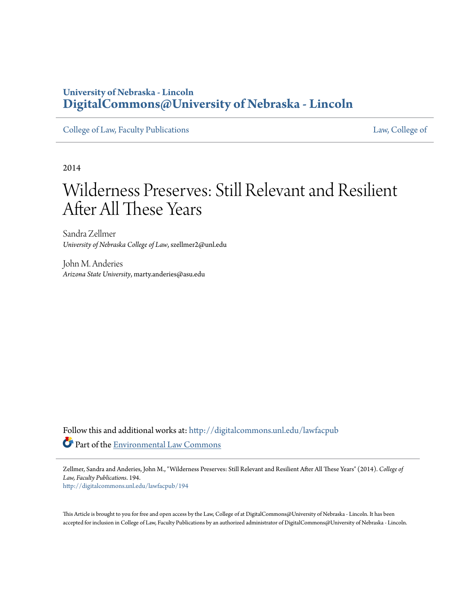# **University of Nebraska - Lincoln [DigitalCommons@University of Nebraska - Lincoln](http://digitalcommons.unl.edu?utm_source=digitalcommons.unl.edu%2Flawfacpub%2F194&utm_medium=PDF&utm_campaign=PDFCoverPages)**

[College of Law, Faculty Publications](http://digitalcommons.unl.edu/lawfacpub?utm_source=digitalcommons.unl.edu%2Flawfacpub%2F194&utm_medium=PDF&utm_campaign=PDFCoverPages) [Law, College of](http://digitalcommons.unl.edu/law?utm_source=digitalcommons.unl.edu%2Flawfacpub%2F194&utm_medium=PDF&utm_campaign=PDFCoverPages) Law, College of

2014

# Wilderness Preserves: Still Relevant and Resilient After All These Years

Sandra Zellmer *University of Nebraska College of Law*, szellmer2@unl.edu

John M. Anderies *Arizona State University*, marty.anderies@asu.edu

Follow this and additional works at: [http://digitalcommons.unl.edu/lawfacpub](http://digitalcommons.unl.edu/lawfacpub?utm_source=digitalcommons.unl.edu%2Flawfacpub%2F194&utm_medium=PDF&utm_campaign=PDFCoverPages) Part of the [Environmental Law Commons](http://network.bepress.com/hgg/discipline/599?utm_source=digitalcommons.unl.edu%2Flawfacpub%2F194&utm_medium=PDF&utm_campaign=PDFCoverPages)

Zellmer, Sandra and Anderies, John M., "Wilderness Preserves: Still Relevant and Resilient After All These Years" (2014). *College of Law, Faculty Publications*. 194.

[http://digitalcommons.unl.edu/lawfacpub/194](http://digitalcommons.unl.edu/lawfacpub/194?utm_source=digitalcommons.unl.edu%2Flawfacpub%2F194&utm_medium=PDF&utm_campaign=PDFCoverPages)

This Article is brought to you for free and open access by the Law, College of at DigitalCommons@University of Nebraska - Lincoln. It has been accepted for inclusion in College of Law, Faculty Publications by an authorized administrator of DigitalCommons@University of Nebraska - Lincoln.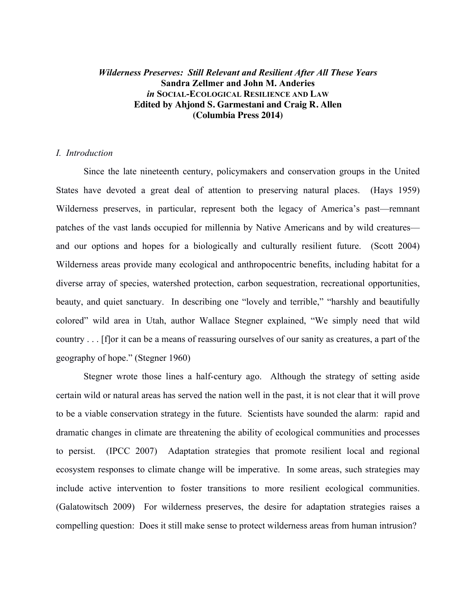# *Wilderness Preserves: Still Relevant and Resilient After All These Years* **Sandra Zellmer and John M. Anderies** *in* **SOCIAL-ECOLOGICAL RESILIENCE AND LAW Edited by Ahjond S. Garmestani and Craig R. Allen (Columbia Press 2014)**

# *I. Introduction*

Since the late nineteenth century, policymakers and conservation groups in the United States have devoted a great deal of attention to preserving natural places. (Hays 1959) Wilderness preserves, in particular, represent both the legacy of America's past—remnant patches of the vast lands occupied for millennia by Native Americans and by wild creatures and our options and hopes for a biologically and culturally resilient future. (Scott 2004) Wilderness areas provide many ecological and anthropocentric benefits, including habitat for a diverse array of species, watershed protection, carbon sequestration, recreational opportunities, beauty, and quiet sanctuary. In describing one "lovely and terrible," "harshly and beautifully colored" wild area in Utah, author Wallace Stegner explained, "We simply need that wild country . . . [f]or it can be a means of reassuring ourselves of our sanity as creatures, a part of the geography of hope." (Stegner 1960)

Stegner wrote those lines a half-century ago. Although the strategy of setting aside certain wild or natural areas has served the nation well in the past, it is not clear that it will prove to be a viable conservation strategy in the future. Scientists have sounded the alarm: rapid and dramatic changes in climate are threatening the ability of ecological communities and processes to persist. (IPCC 2007) Adaptation strategies that promote resilient local and regional ecosystem responses to climate change will be imperative. In some areas, such strategies may include active intervention to foster transitions to more resilient ecological communities. (Galatowitsch 2009) For wilderness preserves, the desire for adaptation strategies raises a compelling question: Does it still make sense to protect wilderness areas from human intrusion?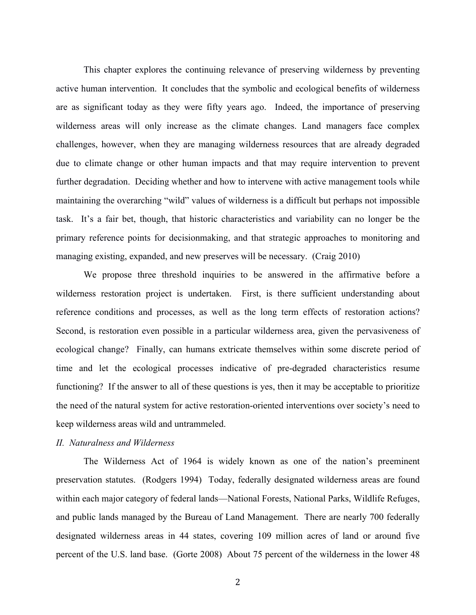This chapter explores the continuing relevance of preserving wilderness by preventing active human intervention. It concludes that the symbolic and ecological benefits of wilderness are as significant today as they were fifty years ago. Indeed, the importance of preserving wilderness areas will only increase as the climate changes. Land managers face complex challenges, however, when they are managing wilderness resources that are already degraded due to climate change or other human impacts and that may require intervention to prevent further degradation. Deciding whether and how to intervene with active management tools while maintaining the overarching "wild" values of wilderness is a difficult but perhaps not impossible task. It's a fair bet, though, that historic characteristics and variability can no longer be the primary reference points for decisionmaking, and that strategic approaches to monitoring and managing existing, expanded, and new preserves will be necessary. (Craig 2010)

We propose three threshold inquiries to be answered in the affirmative before a wilderness restoration project is undertaken. First, is there sufficient understanding about reference conditions and processes, as well as the long term effects of restoration actions? Second, is restoration even possible in a particular wilderness area, given the pervasiveness of ecological change? Finally, can humans extricate themselves within some discrete period of time and let the ecological processes indicative of pre-degraded characteristics resume functioning? If the answer to all of these questions is yes, then it may be acceptable to prioritize the need of the natural system for active restoration-oriented interventions over society's need to keep wilderness areas wild and untrammeled.

# *II. Naturalness and Wilderness*

The Wilderness Act of 1964 is widely known as one of the nation's preeminent preservation statutes. (Rodgers 1994) Today, federally designated wilderness areas are found within each major category of federal lands—National Forests, National Parks, Wildlife Refuges, and public lands managed by the Bureau of Land Management. There are nearly 700 federally designated wilderness areas in 44 states, covering 109 million acres of land or around five percent of the U.S. land base. (Gorte 2008) About 75 percent of the wilderness in the lower 48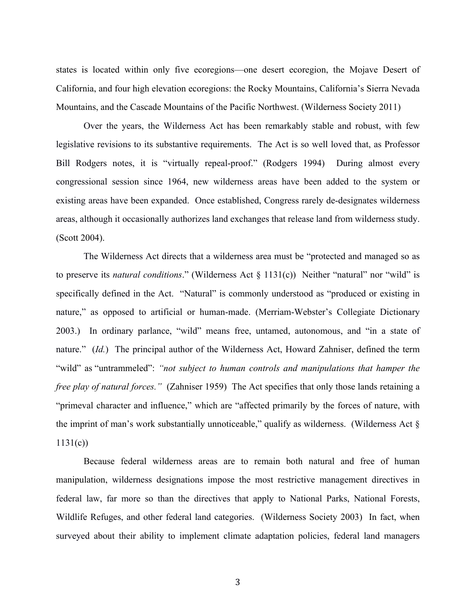states is located within only five ecoregions—one desert ecoregion, the Mojave Desert of California, and four high elevation ecoregions: the Rocky Mountains, California's Sierra Nevada Mountains, and the Cascade Mountains of the Pacific Northwest. (Wilderness Society 2011)

Over the years, the Wilderness Act has been remarkably stable and robust, with few legislative revisions to its substantive requirements. The Act is so well loved that, as Professor Bill Rodgers notes, it is "virtually repeal-proof." (Rodgers 1994) During almost every congressional session since 1964, new wilderness areas have been added to the system or existing areas have been expanded. Once established, Congress rarely de-designates wilderness areas, although it occasionally authorizes land exchanges that release land from wilderness study. (Scott 2004).

The Wilderness Act directs that a wilderness area must be "protected and managed so as to preserve its *natural conditions*." (Wilderness Act § 1131(c)) Neither "natural" nor "wild" is specifically defined in the Act. "Natural" is commonly understood as "produced or existing in nature," as opposed to artificial or human-made. (Merriam-Webster's Collegiate Dictionary 2003.) In ordinary parlance, "wild" means free, untamed, autonomous, and "in a state of nature." (*Id.*) The principal author of the Wilderness Act, Howard Zahniser, defined the term "wild" as "untrammeled": *"not subject to human controls and manipulations that hamper the free play of natural forces.*" (Zahniser 1959) The Act specifies that only those lands retaining a "primeval character and influence," which are "affected primarily by the forces of nature, with the imprint of man's work substantially unnoticeable," qualify as wilderness. (Wilderness Act §  $1131(c)$ 

Because federal wilderness areas are to remain both natural and free of human manipulation, wilderness designations impose the most restrictive management directives in federal law, far more so than the directives that apply to National Parks, National Forests, Wildlife Refuges, and other federal land categories. (Wilderness Society 2003) In fact, when surveyed about their ability to implement climate adaptation policies, federal land managers

3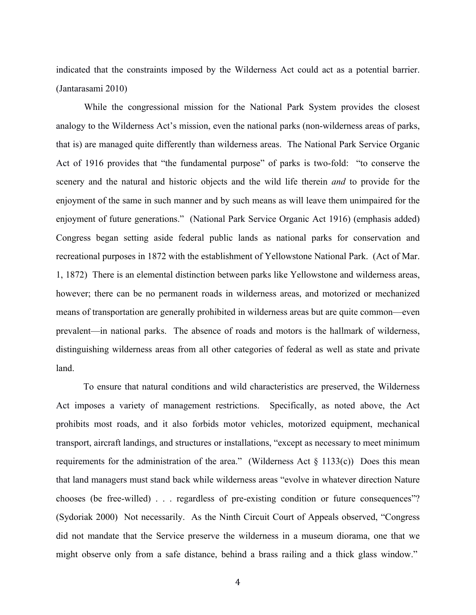indicated that the constraints imposed by the Wilderness Act could act as a potential barrier. (Jantarasami 2010)

While the congressional mission for the National Park System provides the closest analogy to the Wilderness Act's mission, even the national parks (non-wilderness areas of parks, that is) are managed quite differently than wilderness areas. The National Park Service Organic Act of 1916 provides that "the fundamental purpose" of parks is two-fold: "to conserve the scenery and the natural and historic objects and the wild life therein *and* to provide for the enjoyment of the same in such manner and by such means as will leave them unimpaired for the enjoyment of future generations." (National Park Service Organic Act 1916) (emphasis added) Congress began setting aside federal public lands as national parks for conservation and recreational purposes in 1872 with the establishment of Yellowstone National Park. (Act of Mar. 1, 1872) There is an elemental distinction between parks like Yellowstone and wilderness areas, however; there can be no permanent roads in wilderness areas, and motorized or mechanized means of transportation are generally prohibited in wilderness areas but are quite common—even prevalent—in national parks. The absence of roads and motors is the hallmark of wilderness, distinguishing wilderness areas from all other categories of federal as well as state and private land.

To ensure that natural conditions and wild characteristics are preserved, the Wilderness Act imposes a variety of management restrictions. Specifically, as noted above, the Act prohibits most roads, and it also forbids motor vehicles, motorized equipment, mechanical transport, aircraft landings, and structures or installations, "except as necessary to meet minimum requirements for the administration of the area." (Wilderness Act  $\S$  1133(c)) Does this mean that land managers must stand back while wilderness areas "evolve in whatever direction Nature chooses (be free-willed) . . . regardless of pre-existing condition or future consequences"? (Sydoriak 2000) Not necessarily. As the Ninth Circuit Court of Appeals observed, "Congress did not mandate that the Service preserve the wilderness in a museum diorama, one that we might observe only from a safe distance, behind a brass railing and a thick glass window."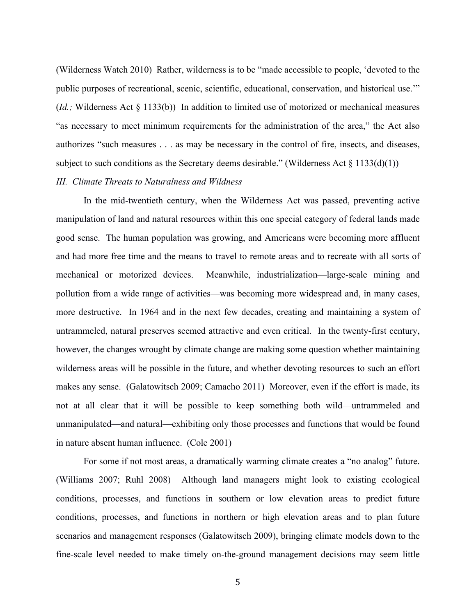(Wilderness Watch 2010) Rather, wilderness is to be "made accessible to people, 'devoted to the public purposes of recreational, scenic, scientific, educational, conservation, and historical use.'" (*Id.;* Wilderness Act § 1133(b)) In addition to limited use of motorized or mechanical measures "as necessary to meet minimum requirements for the administration of the area," the Act also authorizes "such measures . . . as may be necessary in the control of fire, insects, and diseases, subject to such conditions as the Secretary deems desirable." (Wilderness Act  $\S$  1133(d)(1)) *III. Climate Threats to Naturalness and Wildness*

In the mid-twentieth century, when the Wilderness Act was passed, preventing active manipulation of land and natural resources within this one special category of federal lands made good sense. The human population was growing, and Americans were becoming more affluent and had more free time and the means to travel to remote areas and to recreate with all sorts of mechanical or motorized devices. Meanwhile, industrialization—large-scale mining and pollution from a wide range of activities—was becoming more widespread and, in many cases, more destructive. In 1964 and in the next few decades, creating and maintaining a system of untrammeled, natural preserves seemed attractive and even critical. In the twenty-first century, however, the changes wrought by climate change are making some question whether maintaining wilderness areas will be possible in the future, and whether devoting resources to such an effort makes any sense. (Galatowitsch 2009; Camacho 2011) Moreover, even if the effort is made, its not at all clear that it will be possible to keep something both wild—untrammeled and unmanipulated—and natural—exhibiting only those processes and functions that would be found in nature absent human influence. (Cole 2001)

For some if not most areas, a dramatically warming climate creates a "no analog" future. (Williams 2007; Ruhl 2008) Although land managers might look to existing ecological conditions, processes, and functions in southern or low elevation areas to predict future conditions, processes, and functions in northern or high elevation areas and to plan future scenarios and management responses (Galatowitsch 2009), bringing climate models down to the fine-scale level needed to make timely on-the-ground management decisions may seem little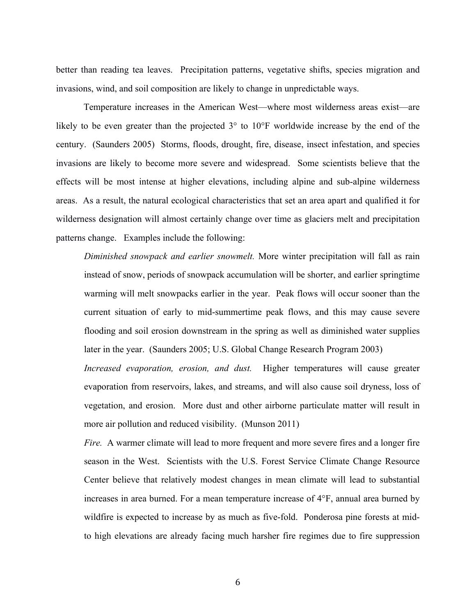better than reading tea leaves. Precipitation patterns, vegetative shifts, species migration and invasions, wind, and soil composition are likely to change in unpredictable ways.

Temperature increases in the American West—where most wilderness areas exist—are likely to be even greater than the projected 3° to 10°F worldwide increase by the end of the century. (Saunders 2005) Storms, floods, drought, fire, disease, insect infestation, and species invasions are likely to become more severe and widespread. Some scientists believe that the effects will be most intense at higher elevations, including alpine and sub-alpine wilderness areas. As a result, the natural ecological characteristics that set an area apart and qualified it for wilderness designation will almost certainly change over time as glaciers melt and precipitation patterns change. Examples include the following:

*Diminished snowpack and earlier snowmelt.* More winter precipitation will fall as rain instead of snow, periods of snowpack accumulation will be shorter, and earlier springtime warming will melt snowpacks earlier in the year. Peak flows will occur sooner than the current situation of early to mid-summertime peak flows, and this may cause severe flooding and soil erosion downstream in the spring as well as diminished water supplies later in the year. (Saunders 2005; U.S. Global Change Research Program 2003) *Increased evaporation, erosion, and dust.* Higher temperatures will cause greater evaporation from reservoirs, lakes, and streams, and will also cause soil dryness, loss of

vegetation, and erosion. More dust and other airborne particulate matter will result in more air pollution and reduced visibility. (Munson 2011)

*Fire.* A warmer climate will lead to more frequent and more severe fires and a longer fire season in the West. Scientists with the U.S. Forest Service Climate Change Resource Center believe that relatively modest changes in mean climate will lead to substantial increases in area burned. For a mean temperature increase of 4°F, annual area burned by wildfire is expected to increase by as much as five-fold. Ponderosa pine forests at midto high elevations are already facing much harsher fire regimes due to fire suppression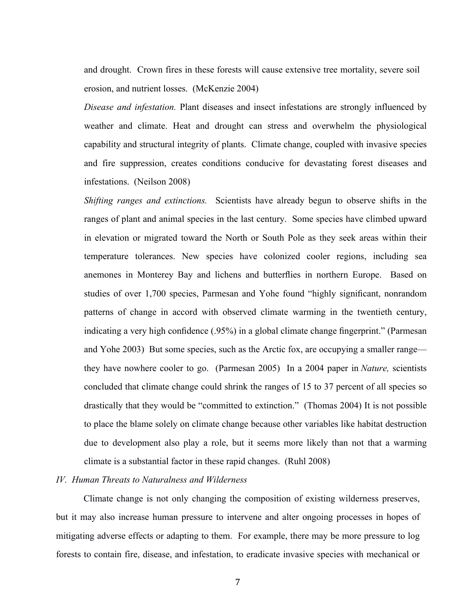and drought. Crown fires in these forests will cause extensive tree mortality, severe soil erosion, and nutrient losses. (McKenzie 2004)

*Disease and infestation.* Plant diseases and insect infestations are strongly influenced by weather and climate. Heat and drought can stress and overwhelm the physiological capability and structural integrity of plants. Climate change, coupled with invasive species and fire suppression, creates conditions conducive for devastating forest diseases and infestations. (Neilson 2008)

*Shifting ranges and extinctions.* Scientists have already begun to observe shifts in the ranges of plant and animal species in the last century. Some species have climbed upward in elevation or migrated toward the North or South Pole as they seek areas within their temperature tolerances. New species have colonized cooler regions, including sea anemones in Monterey Bay and lichens and butterflies in northern Europe. Based on studies of over 1,700 species, Parmesan and Yohe found "highly significant, nonrandom patterns of change in accord with observed climate warming in the twentieth century, indicating a very high confidence (.95%) in a global climate change fingerprint." (Parmesan and Yohe 2003) But some species, such as the Arctic fox, are occupying a smaller range they have nowhere cooler to go. (Parmesan 2005) In a 2004 paper in *Nature,* scientists concluded that climate change could shrink the ranges of 15 to 37 percent of all species so drastically that they would be "committed to extinction." (Thomas 2004) It is not possible to place the blame solely on climate change because other variables like habitat destruction due to development also play a role, but it seems more likely than not that a warming climate is a substantial factor in these rapid changes. (Ruhl 2008)

#### *IV. Human Threats to Naturalness and Wilderness*

Climate change is not only changing the composition of existing wilderness preserves, but it may also increase human pressure to intervene and alter ongoing processes in hopes of mitigating adverse effects or adapting to them. For example, there may be more pressure to log forests to contain fire, disease, and infestation, to eradicate invasive species with mechanical or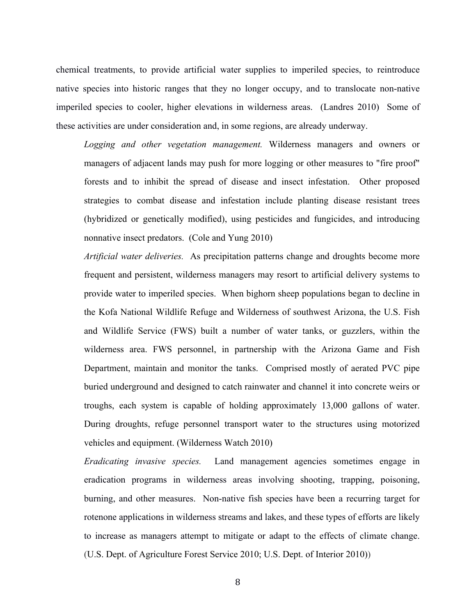chemical treatments, to provide artificial water supplies to imperiled species, to reintroduce native species into historic ranges that they no longer occupy, and to translocate non-native imperiled species to cooler, higher elevations in wilderness areas. (Landres 2010) Some of these activities are under consideration and, in some regions, are already underway.

*Logging and other vegetation management.* Wilderness managers and owners or managers of adjacent lands may push for more logging or other measures to "fire proof" forests and to inhibit the spread of disease and insect infestation. Other proposed strategies to combat disease and infestation include planting disease resistant trees (hybridized or genetically modified), using pesticides and fungicides, and introducing nonnative insect predators. (Cole and Yung 2010)

*Artificial water deliveries.* As precipitation patterns change and droughts become more frequent and persistent, wilderness managers may resort to artificial delivery systems to provide water to imperiled species. When bighorn sheep populations began to decline in the Kofa National Wildlife Refuge and Wilderness of southwest Arizona, the U.S. Fish and Wildlife Service (FWS) built a number of water tanks, or guzzlers, within the wilderness area. FWS personnel, in partnership with the Arizona Game and Fish Department, maintain and monitor the tanks. Comprised mostly of aerated PVC pipe buried underground and designed to catch rainwater and channel it into concrete weirs or troughs, each system is capable of holding approximately 13,000 gallons of water. During droughts, refuge personnel transport water to the structures using motorized vehicles and equipment. (Wilderness Watch 2010)

*Eradicating invasive species.* Land management agencies sometimes engage in eradication programs in wilderness areas involving shooting, trapping, poisoning, burning, and other measures. Non-native fish species have been a recurring target for rotenone applications in wilderness streams and lakes, and these types of efforts are likely to increase as managers attempt to mitigate or adapt to the effects of climate change. (U.S. Dept. of Agriculture Forest Service 2010; U.S. Dept. of Interior 2010))

8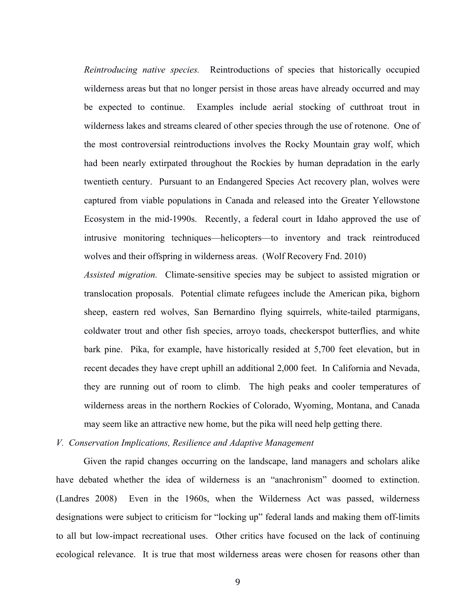*Reintroducing native species.* Reintroductions of species that historically occupied wilderness areas but that no longer persist in those areas have already occurred and may be expected to continue. Examples include aerial stocking of cutthroat trout in wilderness lakes and streams cleared of other species through the use of rotenone. One of the most controversial reintroductions involves the Rocky Mountain gray wolf, which had been nearly extirpated throughout the Rockies by human depradation in the early twentieth century. Pursuant to an Endangered Species Act recovery plan, wolves were captured from viable populations in Canada and released into the Greater Yellowstone Ecosystem in the mid-1990s. Recently, a federal court in Idaho approved the use of intrusive monitoring techniques—helicopters—to inventory and track reintroduced wolves and their offspring in wilderness areas. (Wolf Recovery Fnd. 2010)

*Assisted migration.* Climate-sensitive species may be subject to assisted migration or translocation proposals. Potential climate refugees include the American pika, bighorn sheep, eastern red wolves, San Bernardino flying squirrels, white-tailed ptarmigans, coldwater trout and other fish species, arroyo toads, checkerspot butterflies, and white bark pine. Pika, for example, have historically resided at 5,700 feet elevation, but in recent decades they have crept uphill an additional 2,000 feet. In California and Nevada, they are running out of room to climb. The high peaks and cooler temperatures of wilderness areas in the northern Rockies of Colorado, Wyoming, Montana, and Canada may seem like an attractive new home, but the pika will need help getting there.

# *V. Conservation Implications, Resilience and Adaptive Management*

Given the rapid changes occurring on the landscape, land managers and scholars alike have debated whether the idea of wilderness is an "anachronism" doomed to extinction. (Landres 2008) Even in the 1960s, when the Wilderness Act was passed, wilderness designations were subject to criticism for "locking up" federal lands and making them off-limits to all but low-impact recreational uses. Other critics have focused on the lack of continuing ecological relevance. It is true that most wilderness areas were chosen for reasons other than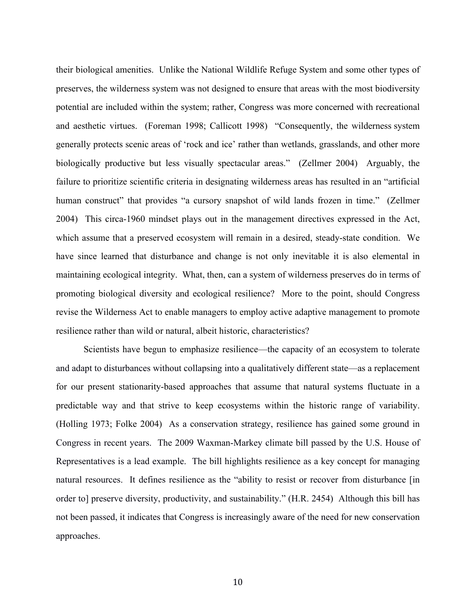their biological amenities. Unlike the National Wildlife Refuge System and some other types of preserves, the wilderness system was not designed to ensure that areas with the most biodiversity potential are included within the system; rather, Congress was more concerned with recreational and aesthetic virtues. (Foreman 1998; Callicott 1998) "Consequently, the wilderness system generally protects scenic areas of 'rock and ice' rather than wetlands, grasslands, and other more biologically productive but less visually spectacular areas." (Zellmer 2004) Arguably, the failure to prioritize scientific criteria in designating wilderness areas has resulted in an "artificial human construct" that provides "a cursory snapshot of wild lands frozen in time." (Zellmer 2004) This circa-1960 mindset plays out in the management directives expressed in the Act, which assume that a preserved ecosystem will remain in a desired, steady-state condition. We have since learned that disturbance and change is not only inevitable it is also elemental in maintaining ecological integrity. What, then, can a system of wilderness preserves do in terms of promoting biological diversity and ecological resilience? More to the point, should Congress revise the Wilderness Act to enable managers to employ active adaptive management to promote resilience rather than wild or natural, albeit historic, characteristics?

Scientists have begun to emphasize resilience—the capacity of an ecosystem to tolerate and adapt to disturbances without collapsing into a qualitatively different state—as a replacement for our present stationarity-based approaches that assume that natural systems fluctuate in a predictable way and that strive to keep ecosystems within the historic range of variability. (Holling 1973; Folke 2004) As a conservation strategy, resilience has gained some ground in Congress in recent years. The 2009 Waxman-Markey climate bill passed by the U.S. House of Representatives is a lead example. The bill highlights resilience as a key concept for managing natural resources. It defines resilience as the "ability to resist or recover from disturbance [in order to] preserve diversity, productivity, and sustainability." (H.R. 2454) Although this bill has not been passed, it indicates that Congress is increasingly aware of the need for new conservation approaches.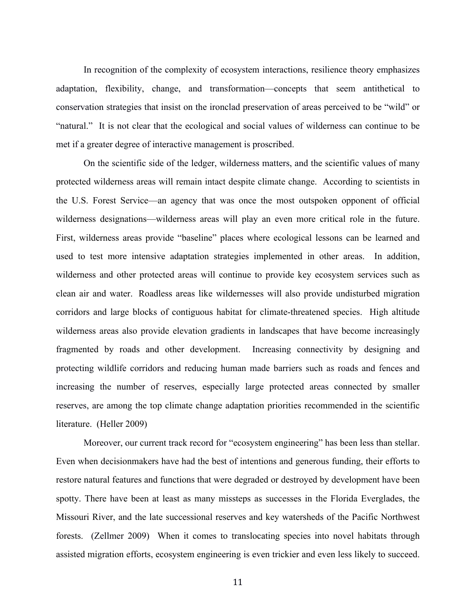In recognition of the complexity of ecosystem interactions, resilience theory emphasizes adaptation, flexibility, change, and transformation—concepts that seem antithetical to conservation strategies that insist on the ironclad preservation of areas perceived to be "wild" or "natural." It is not clear that the ecological and social values of wilderness can continue to be met if a greater degree of interactive management is proscribed.

On the scientific side of the ledger, wilderness matters, and the scientific values of many protected wilderness areas will remain intact despite climate change. According to scientists in the U.S. Forest Service—an agency that was once the most outspoken opponent of official wilderness designations—wilderness areas will play an even more critical role in the future. First, wilderness areas provide "baseline" places where ecological lessons can be learned and used to test more intensive adaptation strategies implemented in other areas. In addition, wilderness and other protected areas will continue to provide key ecosystem services such as clean air and water. Roadless areas like wildernesses will also provide undisturbed migration corridors and large blocks of contiguous habitat for climate-threatened species. High altitude wilderness areas also provide elevation gradients in landscapes that have become increasingly fragmented by roads and other development. Increasing connectivity by designing and protecting wildlife corridors and reducing human made barriers such as roads and fences and increasing the number of reserves, especially large protected areas connected by smaller reserves, are among the top climate change adaptation priorities recommended in the scientific literature. (Heller 2009)

Moreover, our current track record for "ecosystem engineering" has been less than stellar. Even when decisionmakers have had the best of intentions and generous funding, their efforts to restore natural features and functions that were degraded or destroyed by development have been spotty. There have been at least as many missteps as successes in the Florida Everglades, the Missouri River, and the late successional reserves and key watersheds of the Pacific Northwest forests. (Zellmer 2009) When it comes to translocating species into novel habitats through assisted migration efforts, ecosystem engineering is even trickier and even less likely to succeed.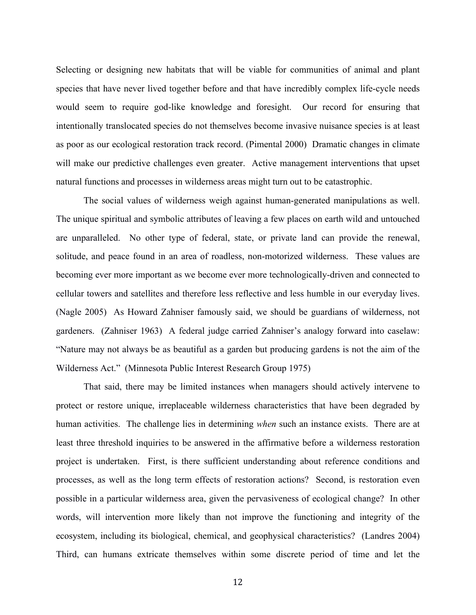Selecting or designing new habitats that will be viable for communities of animal and plant species that have never lived together before and that have incredibly complex life-cycle needs would seem to require god-like knowledge and foresight. Our record for ensuring that intentionally translocated species do not themselves become invasive nuisance species is at least as poor as our ecological restoration track record. (Pimental 2000) Dramatic changes in climate will make our predictive challenges even greater. Active management interventions that upset natural functions and processes in wilderness areas might turn out to be catastrophic.

The social values of wilderness weigh against human-generated manipulations as well. The unique spiritual and symbolic attributes of leaving a few places on earth wild and untouched are unparalleled. No other type of federal, state, or private land can provide the renewal, solitude, and peace found in an area of roadless, non-motorized wilderness. These values are becoming ever more important as we become ever more technologically-driven and connected to cellular towers and satellites and therefore less reflective and less humble in our everyday lives. (Nagle 2005) As Howard Zahniser famously said, we should be guardians of wilderness, not gardeners. (Zahniser 1963) A federal judge carried Zahniser's analogy forward into caselaw: "Nature may not always be as beautiful as a garden but producing gardens is not the aim of the Wilderness Act." (Minnesota Public Interest Research Group 1975)

That said, there may be limited instances when managers should actively intervene to protect or restore unique, irreplaceable wilderness characteristics that have been degraded by human activities. The challenge lies in determining *when* such an instance exists. There are at least three threshold inquiries to be answered in the affirmative before a wilderness restoration project is undertaken. First, is there sufficient understanding about reference conditions and processes, as well as the long term effects of restoration actions? Second, is restoration even possible in a particular wilderness area, given the pervasiveness of ecological change? In other words, will intervention more likely than not improve the functioning and integrity of the ecosystem, including its biological, chemical, and geophysical characteristics? (Landres 2004) Third, can humans extricate themselves within some discrete period of time and let the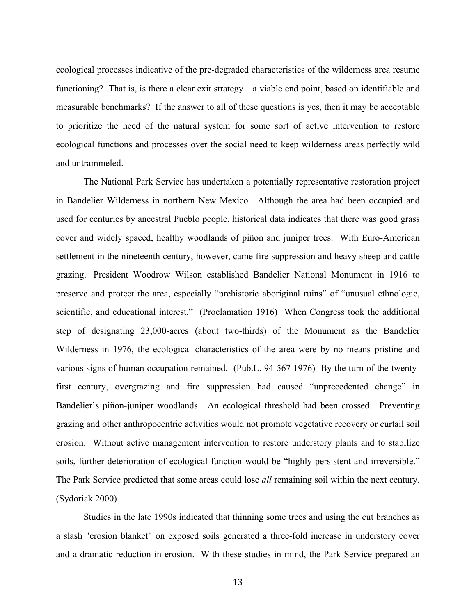ecological processes indicative of the pre-degraded characteristics of the wilderness area resume functioning? That is, is there a clear exit strategy—a viable end point, based on identifiable and measurable benchmarks? If the answer to all of these questions is yes, then it may be acceptable to prioritize the need of the natural system for some sort of active intervention to restore ecological functions and processes over the social need to keep wilderness areas perfectly wild and untrammeled.

The National Park Service has undertaken a potentially representative restoration project in Bandelier Wilderness in northern New Mexico. Although the area had been occupied and used for centuries by ancestral Pueblo people, historical data indicates that there was good grass cover and widely spaced, healthy woodlands of piñon and juniper trees. With Euro-American settlement in the nineteenth century, however, came fire suppression and heavy sheep and cattle grazing. President Woodrow Wilson established Bandelier National Monument in 1916 to preserve and protect the area, especially "prehistoric aboriginal ruins" of "unusual ethnologic, scientific, and educational interest." (Proclamation 1916) When Congress took the additional step of designating 23,000-acres (about two-thirds) of the Monument as the Bandelier Wilderness in 1976, the ecological characteristics of the area were by no means pristine and various signs of human occupation remained. (Pub.L. 94-567 1976) By the turn of the twentyfirst century, overgrazing and fire suppression had caused "unprecedented change" in Bandelier's piñon-juniper woodlands. An ecological threshold had been crossed. Preventing grazing and other anthropocentric activities would not promote vegetative recovery or curtail soil erosion. Without active management intervention to restore understory plants and to stabilize soils, further deterioration of ecological function would be "highly persistent and irreversible." The Park Service predicted that some areas could lose *all* remaining soil within the next century. (Sydoriak 2000)

Studies in the late 1990s indicated that thinning some trees and using the cut branches as a slash "erosion blanket" on exposed soils generated a three-fold increase in understory cover and a dramatic reduction in erosion. With these studies in mind, the Park Service prepared an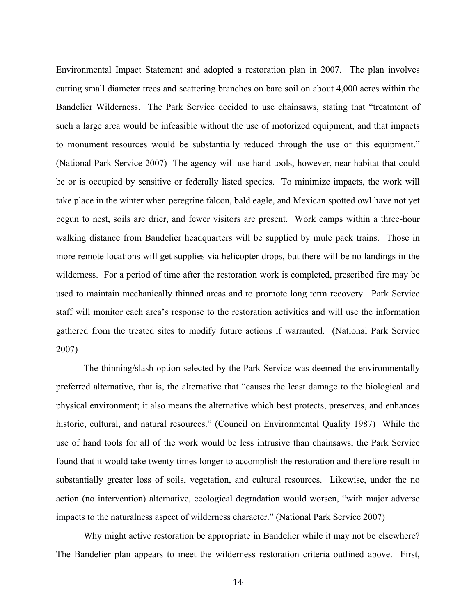Environmental Impact Statement and adopted a restoration plan in 2007. The plan involves cutting small diameter trees and scattering branches on bare soil on about 4,000 acres within the Bandelier Wilderness. The Park Service decided to use chainsaws, stating that "treatment of such a large area would be infeasible without the use of motorized equipment, and that impacts to monument resources would be substantially reduced through the use of this equipment." (National Park Service 2007) The agency will use hand tools, however, near habitat that could be or is occupied by sensitive or federally listed species. To minimize impacts, the work will take place in the winter when peregrine falcon, bald eagle, and Mexican spotted owl have not yet begun to nest, soils are drier, and fewer visitors are present. Work camps within a three-hour walking distance from Bandelier headquarters will be supplied by mule pack trains. Those in more remote locations will get supplies via helicopter drops, but there will be no landings in the wilderness. For a period of time after the restoration work is completed, prescribed fire may be used to maintain mechanically thinned areas and to promote long term recovery. Park Service staff will monitor each area's response to the restoration activities and will use the information gathered from the treated sites to modify future actions if warranted. (National Park Service 2007)

The thinning/slash option selected by the Park Service was deemed the environmentally preferred alternative, that is, the alternative that "causes the least damage to the biological and physical environment; it also means the alternative which best protects, preserves, and enhances historic, cultural, and natural resources." (Council on Environmental Quality 1987) While the use of hand tools for all of the work would be less intrusive than chainsaws, the Park Service found that it would take twenty times longer to accomplish the restoration and therefore result in substantially greater loss of soils, vegetation, and cultural resources. Likewise, under the no action (no intervention) alternative, ecological degradation would worsen, "with major adverse impacts to the naturalness aspect of wilderness character." (National Park Service 2007)

Why might active restoration be appropriate in Bandelier while it may not be elsewhere? The Bandelier plan appears to meet the wilderness restoration criteria outlined above. First,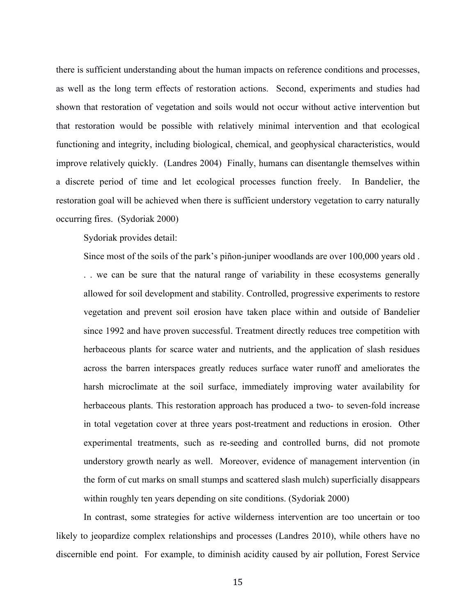there is sufficient understanding about the human impacts on reference conditions and processes, as well as the long term effects of restoration actions. Second, experiments and studies had shown that restoration of vegetation and soils would not occur without active intervention but that restoration would be possible with relatively minimal intervention and that ecological functioning and integrity, including biological, chemical, and geophysical characteristics, would improve relatively quickly. (Landres 2004) Finally, humans can disentangle themselves within a discrete period of time and let ecological processes function freely. In Bandelier, the restoration goal will be achieved when there is sufficient understory vegetation to carry naturally occurring fires. (Sydoriak 2000)

Sydoriak provides detail:

Since most of the soils of the park's piñon-juniper woodlands are over 100,000 years old . . . we can be sure that the natural range of variability in these ecosystems generally allowed for soil development and stability. Controlled, progressive experiments to restore vegetation and prevent soil erosion have taken place within and outside of Bandelier since 1992 and have proven successful. Treatment directly reduces tree competition with herbaceous plants for scarce water and nutrients, and the application of slash residues across the barren interspaces greatly reduces surface water runoff and ameliorates the harsh microclimate at the soil surface, immediately improving water availability for herbaceous plants. This restoration approach has produced a two- to seven-fold increase in total vegetation cover at three years post-treatment and reductions in erosion. Other experimental treatments, such as re-seeding and controlled burns, did not promote understory growth nearly as well. Moreover, evidence of management intervention (in the form of cut marks on small stumps and scattered slash mulch) superficially disappears within roughly ten years depending on site conditions. (Sydoriak 2000)

In contrast, some strategies for active wilderness intervention are too uncertain or too likely to jeopardize complex relationships and processes (Landres 2010), while others have no discernible end point. For example, to diminish acidity caused by air pollution, Forest Service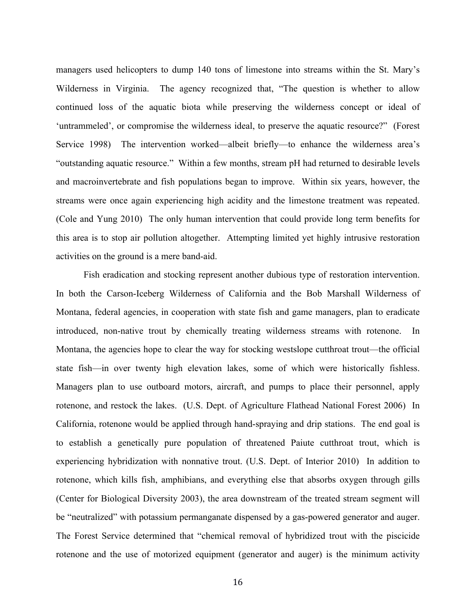managers used helicopters to dump 140 tons of limestone into streams within the St. Mary's Wilderness in Virginia. The agency recognized that, "The question is whether to allow continued loss of the aquatic biota while preserving the wilderness concept or ideal of 'untrammeled', or compromise the wilderness ideal, to preserve the aquatic resource?" (Forest Service 1998) The intervention worked—albeit briefly—to enhance the wilderness area's "outstanding aquatic resource." Within a few months, stream pH had returned to desirable levels and macroinvertebrate and fish populations began to improve. Within six years, however, the streams were once again experiencing high acidity and the limestone treatment was repeated. (Cole and Yung 2010) The only human intervention that could provide long term benefits for this area is to stop air pollution altogether. Attempting limited yet highly intrusive restoration activities on the ground is a mere band-aid.

Fish eradication and stocking represent another dubious type of restoration intervention. In both the Carson-Iceberg Wilderness of California and the Bob Marshall Wilderness of Montana, federal agencies, in cooperation with state fish and game managers, plan to eradicate introduced, non-native trout by chemically treating wilderness streams with rotenone. In Montana, the agencies hope to clear the way for stocking westslope cutthroat trout—the official state fish—in over twenty high elevation lakes, some of which were historically fishless. Managers plan to use outboard motors, aircraft, and pumps to place their personnel, apply rotenone, and restock the lakes. (U.S. Dept. of Agriculture Flathead National Forest 2006) In California, rotenone would be applied through hand-spraying and drip stations. The end goal is to establish a genetically pure population of threatened Paiute cutthroat trout, which is experiencing hybridization with nonnative trout. (U.S. Dept. of Interior 2010) In addition to rotenone, which kills fish, amphibians, and everything else that absorbs oxygen through gills (Center for Biological Diversity 2003), the area downstream of the treated stream segment will be "neutralized" with potassium permanganate dispensed by a gas-powered generator and auger. The Forest Service determined that "chemical removal of hybridized trout with the piscicide rotenone and the use of motorized equipment (generator and auger) is the minimum activity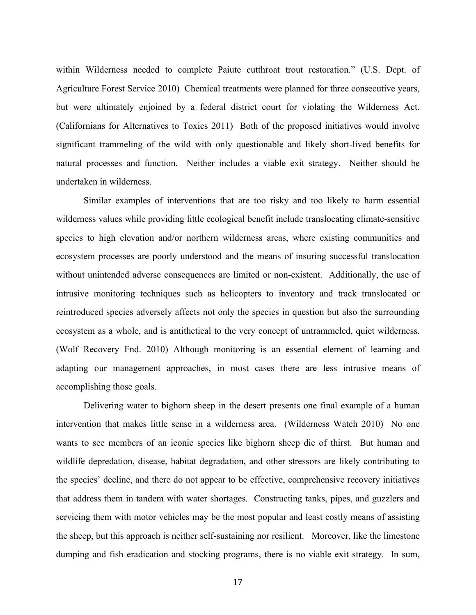within Wilderness needed to complete Paiute cutthroat trout restoration." (U.S. Dept. of Agriculture Forest Service 2010) Chemical treatments were planned for three consecutive years, but were ultimately enjoined by a federal district court for violating the Wilderness Act. (Californians for Alternatives to Toxics 2011) Both of the proposed initiatives would involve significant trammeling of the wild with only questionable and likely short-lived benefits for natural processes and function. Neither includes a viable exit strategy. Neither should be undertaken in wilderness.

Similar examples of interventions that are too risky and too likely to harm essential wilderness values while providing little ecological benefit include translocating climate-sensitive species to high elevation and/or northern wilderness areas, where existing communities and ecosystem processes are poorly understood and the means of insuring successful translocation without unintended adverse consequences are limited or non-existent. Additionally, the use of intrusive monitoring techniques such as helicopters to inventory and track translocated or reintroduced species adversely affects not only the species in question but also the surrounding ecosystem as a whole, and is antithetical to the very concept of untrammeled, quiet wilderness. (Wolf Recovery Fnd. 2010) Although monitoring is an essential element of learning and adapting our management approaches, in most cases there are less intrusive means of accomplishing those goals.

Delivering water to bighorn sheep in the desert presents one final example of a human intervention that makes little sense in a wilderness area. (Wilderness Watch 2010) No one wants to see members of an iconic species like bighorn sheep die of thirst. But human and wildlife depredation, disease, habitat degradation, and other stressors are likely contributing to the species' decline, and there do not appear to be effective, comprehensive recovery initiatives that address them in tandem with water shortages. Constructing tanks, pipes, and guzzlers and servicing them with motor vehicles may be the most popular and least costly means of assisting the sheep, but this approach is neither self-sustaining nor resilient. Moreover, like the limestone dumping and fish eradication and stocking programs, there is no viable exit strategy. In sum,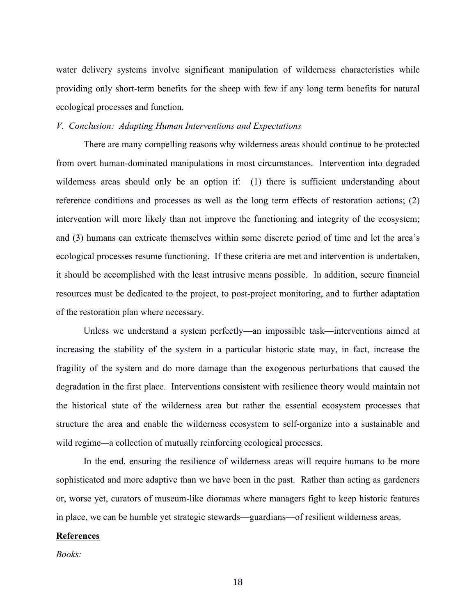water delivery systems involve significant manipulation of wilderness characteristics while providing only short-term benefits for the sheep with few if any long term benefits for natural ecological processes and function.

#### *V. Conclusion: Adapting Human Interventions and Expectations*

There are many compelling reasons why wilderness areas should continue to be protected from overt human-dominated manipulations in most circumstances. Intervention into degraded wilderness areas should only be an option if: (1) there is sufficient understanding about reference conditions and processes as well as the long term effects of restoration actions; (2) intervention will more likely than not improve the functioning and integrity of the ecosystem; and (3) humans can extricate themselves within some discrete period of time and let the area's ecological processes resume functioning. If these criteria are met and intervention is undertaken, it should be accomplished with the least intrusive means possible. In addition, secure financial resources must be dedicated to the project, to post-project monitoring, and to further adaptation of the restoration plan where necessary.

Unless we understand a system perfectly—an impossible task—interventions aimed at increasing the stability of the system in a particular historic state may, in fact, increase the fragility of the system and do more damage than the exogenous perturbations that caused the degradation in the first place. Interventions consistent with resilience theory would maintain not the historical state of the wilderness area but rather the essential ecosystem processes that structure the area and enable the wilderness ecosystem to self-organize into a sustainable and wild regime*—*a collection of mutually reinforcing ecological processes.

In the end, ensuring the resilience of wilderness areas will require humans to be more sophisticated and more adaptive than we have been in the past. Rather than acting as gardeners or, worse yet, curators of museum-like dioramas where managers fight to keep historic features in place, we can be humble yet strategic stewards—guardians—of resilient wilderness areas.

# **References**

*Books:*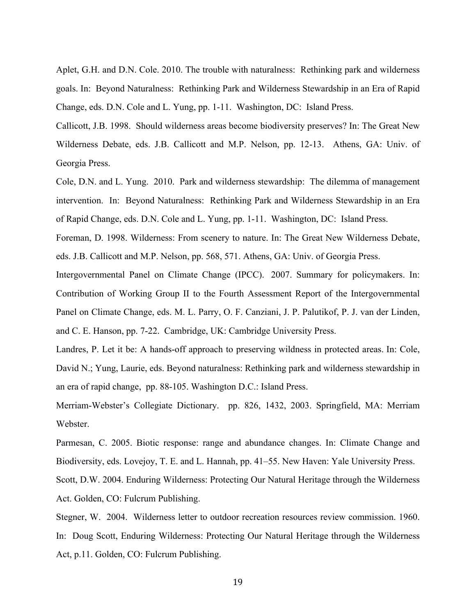Aplet, G.H. and D.N. Cole. 2010. The trouble with naturalness: Rethinking park and wilderness goals. In: Beyond Naturalness: Rethinking Park and Wilderness Stewardship in an Era of Rapid Change, eds. D.N. Cole and L. Yung, pp. 1-11. Washington, DC: Island Press.

Callicott, J.B. 1998. Should wilderness areas become biodiversity preserves? In: The Great New Wilderness Debate, eds. J.B. Callicott and M.P. Nelson, pp. 12-13. Athens, GA: Univ. of Georgia Press.

Cole, D.N. and L. Yung. 2010. Park and wilderness stewardship: The dilemma of management intervention. In: Beyond Naturalness: Rethinking Park and Wilderness Stewardship in an Era of Rapid Change, eds. D.N. Cole and L. Yung, pp. 1-11. Washington, DC: Island Press.

Foreman, D. 1998. Wilderness: From scenery to nature. In: The Great New Wilderness Debate, eds. J.B. Callicott and M.P. Nelson, pp. 568, 571. Athens, GA: Univ. of Georgia Press.

Intergovernmental Panel on Climate Change (IPCC). 2007. Summary for policymakers. In: Contribution of Working Group II to the Fourth Assessment Report of the Intergovernmental Panel on Climate Change, eds. M. L. Parry, O. F. Canziani, J. P. Palutikof, P. J. van der Linden, and C. E. Hanson, pp. 7-22. Cambridge, UK: Cambridge University Press.

Landres, P. Let it be: A hands-off approach to preserving wildness in protected areas. In: Cole, David N.; Yung, Laurie, eds. Beyond naturalness: Rethinking park and wilderness stewardship in an era of rapid change, pp. 88-105. Washington D.C.: Island Press.

Merriam-Webster's Collegiate Dictionary. pp. 826, 1432, 2003. Springfield, MA: Merriam Webster.

Parmesan, C. 2005. Biotic response: range and abundance changes. In: Climate Change and Biodiversity, eds. Lovejoy, T. E. and L. Hannah, pp. 41–55. New Haven: Yale University Press. Scott, D.W. 2004. Enduring Wilderness: Protecting Our Natural Heritage through the Wilderness Act. Golden, CO: Fulcrum Publishing.

Stegner, W. 2004. Wilderness letter to outdoor recreation resources review commission. 1960. In: Doug Scott, Enduring Wilderness: Protecting Our Natural Heritage through the Wilderness Act, p.11. Golden, CO: Fulcrum Publishing.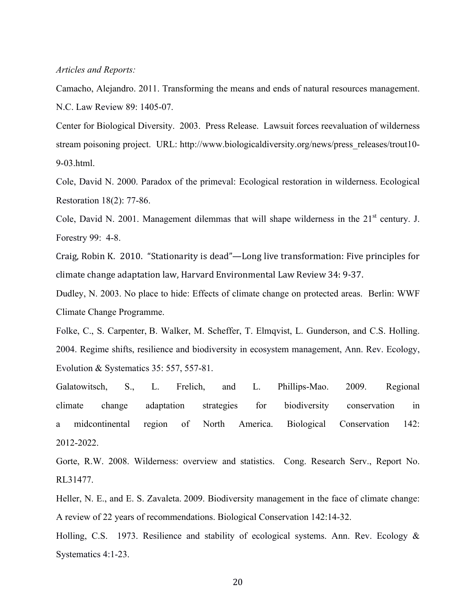#### *Articles and Reports:*

Camacho, Alejandro. 2011. Transforming the means and ends of natural resources management. N.C. Law Review 89: 1405-07.

Center for Biological Diversity. 2003. Press Release. Lawsuit forces reevaluation of wilderness stream poisoning project. URL: http://www.biologicaldiversity.org/news/press\_releases/trout10-9-03.html.

Cole, David N. 2000. Paradox of the primeval: Ecological restoration in wilderness. Ecological Restoration 18(2): 77-86.

Cole, David N. 2001. Management dilemmas that will shape wilderness in the  $21<sup>st</sup>$  century. J. Forestry 99: 4-8.

Craig, Robin K. 2010. "Stationarity is dead"—Long live transformation: Five principles for climate change adaptation law, Harvard Environmental Law Review 34: 9-37.

Dudley, N. 2003. No place to hide: Effects of climate change on protected areas. Berlin: WWF Climate Change Programme.

Folke, C., S. Carpenter, B. Walker, M. Scheffer, T. Elmqvist, L. Gunderson, and C.S. Holling. 2004. Regime shifts, resilience and biodiversity in ecosystem management, Ann. Rev. Ecology, Evolution & Systematics 35: 557, 557-81.

Galatowitsch, S., L. Frelich, and L. Phillips-Mao. 2009. Regional climate change adaptation strategies for biodiversity conservation in a midcontinental region of North America. Biological Conservation 142: 2012-2022.

Gorte, R.W. 2008. Wilderness: overview and statistics. Cong. Research Serv., Report No. RL31477.

Heller, N. E., and E. S. Zavaleta. 2009. Biodiversity management in the face of climate change: A review of 22 years of recommendations. Biological Conservation 142:14-32.

Holling, C.S. 1973. Resilience and stability of ecological systems. Ann. Rev. Ecology & Systematics 4:1-23.

20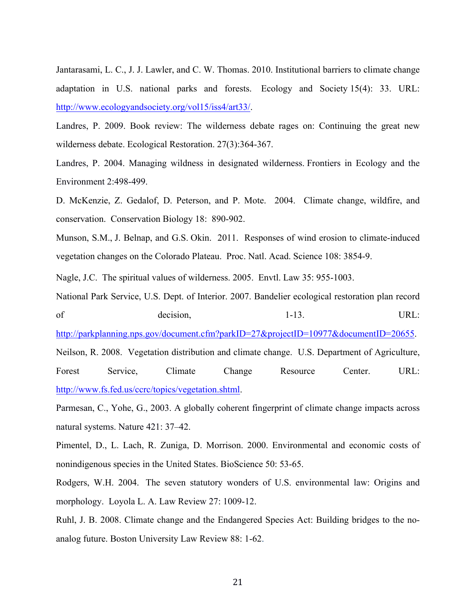Jantarasami, L. C., J. J. Lawler, and C. W. Thomas. 2010. Institutional barriers to climate change adaptation in U.S. national parks and forests. Ecology and Society 15(4): 33. URL: http://www.ecologyandsociety.org/vol15/iss4/art33/.

Landres, P. 2009. Book review: The wilderness debate rages on: Continuing the great new wilderness debate. Ecological Restoration. 27(3):364-367.

Landres, P. 2004. Managing wildness in designated wilderness. Frontiers in Ecology and the Environment 2:498-499.

D. McKenzie, Z. Gedalof, D. Peterson, and P. Mote. 2004. Climate change, wildfire, and conservation. Conservation Biology 18: 890-902.

Munson, S.M., J. Belnap, and G.S. Okin. 2011. Responses of wind erosion to climate-induced vegetation changes on the Colorado Plateau. Proc. Natl. Acad. Science 108: 3854-9.

Nagle, J.C. The spiritual values of wilderness. 2005. Envtl. Law 35: 955-1003.

National Park Service, U.S. Dept. of Interior. 2007. Bandelier ecological restoration plan record of decision, 1-13. URL:

http://parkplanning.nps.gov/document.cfm?parkID=27&projectID=10977&documentID=20655.

Neilson, R. 2008. Vegetation distribution and climate change. U.S. Department of Agriculture,

Forest Service, Climate Change Resource Center. URL: http://www.fs.fed.us/ccrc/topics/vegetation.shtml.

Parmesan, C., Yohe, G., 2003. A globally coherent fingerprint of climate change impacts across natural systems. Nature 421: 37–42.

Pimentel, D., L. Lach, R. Zuniga, D. Morrison. 2000. Environmental and economic costs of nonindigenous species in the United States. BioScience 50: 53-65.

Rodgers, W.H. 2004. The seven statutory wonders of U.S. environmental law: Origins and morphology. Loyola L. A. Law Review 27: 1009-12.

Ruhl, J. B. 2008. Climate change and the Endangered Species Act: Building bridges to the noanalog future. Boston University Law Review 88: 1-62.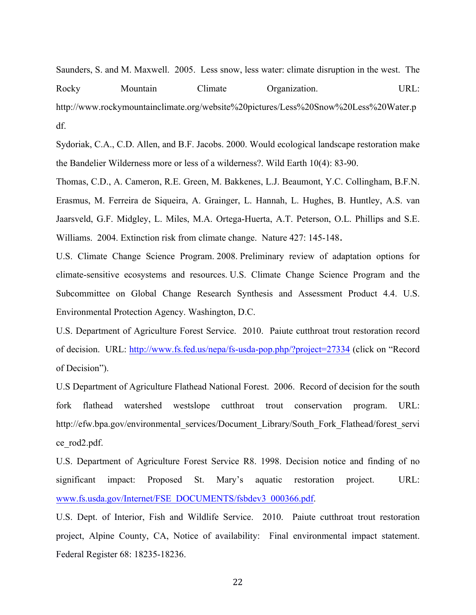Saunders, S. and M. Maxwell. 2005. Less snow, less water: climate disruption in the west. The Rocky Mountain Climate Organization. URL: http://www.rockymountainclimate.org/website%20pictures/Less%20Snow%20Less%20Water.p df.

Sydoriak, C.A., C.D. Allen, and B.F. Jacobs. 2000. Would ecological landscape restoration make the Bandelier Wilderness more or less of a wilderness?. Wild Earth 10(4): 83-90.

Thomas, C.D., A. Cameron, R.E. Green, M. Bakkenes, L.J. Beaumont, Y.C. Collingham, B.F.N. Erasmus, M. Ferreira de Siqueira, A. Grainger, L. Hannah, L. Hughes, B. Huntley, A.S. van Jaarsveld, G.F. Midgley, L. Miles, M.A. Ortega-Huerta, A.T. Peterson, O.L. Phillips and S.E. Williams. 2004. Extinction risk from climate change. Nature 427: 145-148.

U.S. Climate Change Science Program. 2008. Preliminary review of adaptation options for climate-sensitive ecosystems and resources. U.S. Climate Change Science Program and the Subcommittee on Global Change Research Synthesis and Assessment Product 4.4. U.S. Environmental Protection Agency. Washington, D.C.

U.S. Department of Agriculture Forest Service. 2010. Paiute cutthroat trout restoration record of decision. URL: http://www.fs.fed.us/nepa/fs-usda-pop.php/?project=27334 (click on "Record of Decision").

U.S Department of Agriculture Flathead National Forest. 2006. Record of decision for the south fork flathead watershed westslope cutthroat trout conservation program. URL: http://efw.bpa.gov/environmental\_services/Document\_Library/South\_Fork\_Flathead/forest\_servi ce\_rod2.pdf.

U.S. Department of Agriculture Forest Service R8. 1998. Decision notice and finding of no significant impact: Proposed St. Mary's aquatic restoration project. URL: www.fs.usda.gov/Internet/FSE\_DOCUMENTS/fsbdev3\_000366.pdf.

U.S. Dept. of Interior, Fish and Wildlife Service. 2010. Paiute cutthroat trout restoration project, Alpine County, CA, Notice of availability: Final environmental impact statement. Federal Register 68: 18235-18236.

22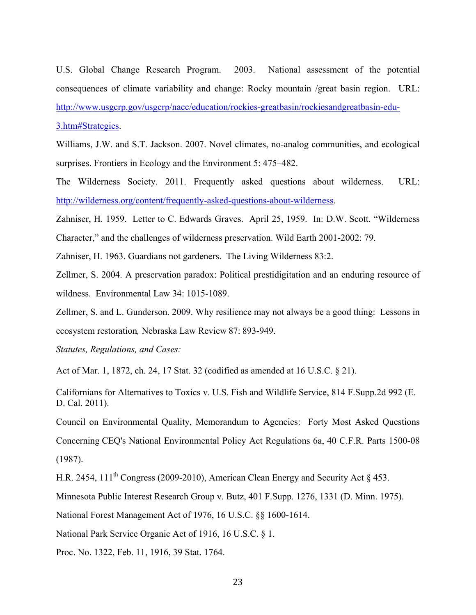U.S. Global Change Research Program. 2003. National assessment of the potential consequences of climate variability and change: Rocky mountain /great basin region. URL: http://www.usgcrp.gov/usgcrp/nacc/education/rockies-greatbasin/rockiesandgreatbasin-edu-3.htm#Strategies.

Williams, J.W. and S.T. Jackson. 2007. Novel climates, no-analog communities, and ecological surprises. Frontiers in Ecology and the Environment 5: 475–482.

The Wilderness Society. 2011. Frequently asked questions about wilderness. URL: http://wilderness.org/content/frequently-asked-questions-about-wilderness.

Zahniser, H. 1959. Letter to C. Edwards Graves. April 25, 1959. In: D.W. Scott. "Wilderness Character," and the challenges of wilderness preservation. Wild Earth 2001-2002: 79.

Zahniser, H. 1963. Guardians not gardeners. The Living Wilderness 83:2.

Zellmer, S. 2004. A preservation paradox: Political prestidigitation and an enduring resource of wildness. Environmental Law 34: 1015-1089.

Zellmer, S. and L. Gunderson. 2009. Why resilience may not always be a good thing: Lessons in ecosystem restoration*,* Nebraska Law Review 87: 893-949.

*Statutes, Regulations, and Cases:*

Act of Mar. 1, 1872, ch. 24, 17 Stat. 32 (codified as amended at 16 U.S.C. § 21).

Californians for Alternatives to Toxics v. U.S. Fish and Wildlife Service, 814 F.Supp.2d 992 (E. D. Cal. 2011).

Council on Environmental Quality, Memorandum to Agencies: Forty Most Asked Questions Concerning CEQ's National Environmental Policy Act Regulations 6a, 40 C.F.R. Parts 1500-08 (1987).

H.R. 2454, 111<sup>th</sup> Congress (2009-2010), American Clean Energy and Security Act § 453.

Minnesota Public Interest Research Group v. Butz, 401 F.Supp. 1276, 1331 (D. Minn. 1975).

National Forest Management Act of 1976, 16 U.S.C. §§ 1600-1614.

National Park Service Organic Act of 1916, 16 U.S.C. § 1.

Proc. No. 1322, Feb. 11, 1916, 39 Stat. 1764.